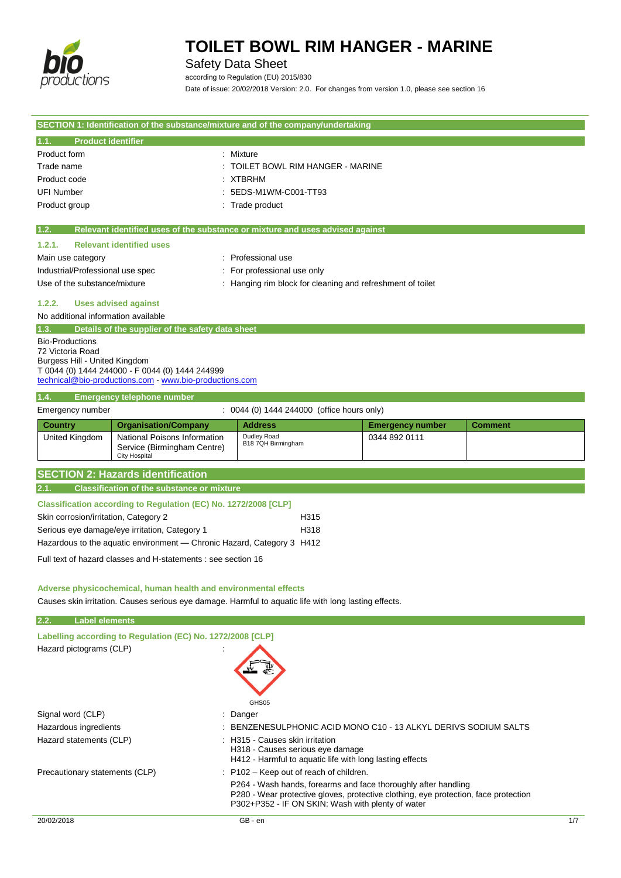

### Safety Data Sheet

according to Regulation (EU) 2015/830 Date of issue: 20/02/2018 Version: 2.0. For changes from version 1.0, please see section 16

|                                            |                                                                                            | SECTION 1: Identification of the substance/mixture and of the company/undertaking                                                        |                         |                |
|--------------------------------------------|--------------------------------------------------------------------------------------------|------------------------------------------------------------------------------------------------------------------------------------------|-------------------------|----------------|
| <b>Product identifier</b><br>1.1.          |                                                                                            |                                                                                                                                          |                         |                |
| Product form                               |                                                                                            | : Mixture                                                                                                                                |                         |                |
| Trade name                                 | TOILET BOWL RIM HANGER - MARINE                                                            |                                                                                                                                          |                         |                |
| Product code                               |                                                                                            | <b>XTBRHM</b>                                                                                                                            |                         |                |
| <b>UFI Number</b>                          |                                                                                            | 5EDS-M1WM-C001-TT93                                                                                                                      |                         |                |
| Product group<br>: Trade product           |                                                                                            |                                                                                                                                          |                         |                |
| 1.2.                                       |                                                                                            | Relevant identified uses of the substance or mixture and uses advised against                                                            |                         |                |
| 1.2.1.                                     | <b>Relevant identified uses</b>                                                            |                                                                                                                                          |                         |                |
| Main use category                          |                                                                                            | : Professional use                                                                                                                       |                         |                |
|                                            | Industrial/Professional use spec<br>For professional use only                              |                                                                                                                                          |                         |                |
|                                            | Use of the substance/mixture<br>: Hanging rim block for cleaning and refreshment of toilet |                                                                                                                                          |                         |                |
| 1.2.2.                                     | <b>Uses advised against</b>                                                                |                                                                                                                                          |                         |                |
| No additional information available        |                                                                                            |                                                                                                                                          |                         |                |
| 1.3.                                       | Details of the supplier of the safety data sheet                                           |                                                                                                                                          |                         |                |
| <b>Bio-Productions</b><br>72 Victoria Road |                                                                                            |                                                                                                                                          |                         |                |
| Burgess Hill - United Kingdom              |                                                                                            |                                                                                                                                          |                         |                |
|                                            | T 0044 (0) 1444 244000 - F 0044 (0) 1444 244999                                            |                                                                                                                                          |                         |                |
|                                            | technical@bio-productions.com - www.bio-productions.com                                    |                                                                                                                                          |                         |                |
| 1.4.                                       | <b>Emergency telephone number</b>                                                          |                                                                                                                                          |                         |                |
| Emergency number                           |                                                                                            | $\therefore$ 0044 (0) 1444 244000 (office hours only)                                                                                    |                         |                |
| <b>Country</b>                             | <b>Organisation/Company</b>                                                                | <b>Address</b>                                                                                                                           | <b>Emergency number</b> | <b>Comment</b> |
| United Kingdom                             | National Poisons Information<br>Service (Birmingham Centre)<br><b>City Hospital</b>        | Dudley Road<br>B18 7QH Birmingham                                                                                                        | 0344 892 0111           |                |
|                                            | <b>SECTION 2: Hazards identification</b>                                                   |                                                                                                                                          |                         |                |
| 2.1.                                       | <b>Classification of the substance or mixture</b>                                          |                                                                                                                                          |                         |                |
|                                            |                                                                                            |                                                                                                                                          |                         |                |
|                                            | Classification according to Regulation (EC) No. 1272/2008 [CLP]                            | H315                                                                                                                                     |                         |                |
| Skin corrosion/irritation, Category 2      | Serious eye damage/eye irritation, Category 1                                              | H318                                                                                                                                     |                         |                |
|                                            | Hazardous to the aquatic environment - Chronic Hazard, Category 3 H412                     |                                                                                                                                          |                         |                |
|                                            |                                                                                            |                                                                                                                                          |                         |                |
|                                            | Full text of hazard classes and H-statements : see section 16                              |                                                                                                                                          |                         |                |
|                                            | Adverse physicochemical, human health and environmental effects                            |                                                                                                                                          |                         |                |
|                                            |                                                                                            | Causes skin irritation. Causes serious eye damage. Harmful to aquatic life with long lasting effects.                                    |                         |                |
| <b>Label elements</b><br>2.2.              |                                                                                            |                                                                                                                                          |                         |                |
|                                            | Labelling according to Regulation (EC) No. 1272/2008 [CLP]                                 |                                                                                                                                          |                         |                |
| Hazard pictograms (CLP)                    |                                                                                            |                                                                                                                                          |                         |                |
|                                            |                                                                                            |                                                                                                                                          |                         |                |
|                                            |                                                                                            |                                                                                                                                          |                         |                |
|                                            |                                                                                            |                                                                                                                                          |                         |                |
|                                            |                                                                                            | GHS05                                                                                                                                    |                         |                |
| Signal word (CLP)                          |                                                                                            |                                                                                                                                          |                         |                |
| Hazardous ingredients                      | Danger<br>BENZENESULPHONIC ACID MONO C10 - 13 ALKYL DERIVS SODIUM SALTS                    |                                                                                                                                          |                         |                |
| Hazard statements (CLP)                    |                                                                                            | H315 - Causes skin irritation                                                                                                            |                         |                |
|                                            |                                                                                            | H318 - Causes serious eye damage<br>H412 - Harmful to aquatic life with long lasting effects                                             |                         |                |
| Precautionary statements (CLP)             |                                                                                            | P102 - Keep out of reach of children.                                                                                                    |                         |                |
|                                            | P264 - Wash hands, forearms and face thoroughly after handling                             |                                                                                                                                          |                         |                |
|                                            |                                                                                            | P280 - Wear protective gloves, protective clothing, eye protection, face protection<br>P302+P352 - IF ON SKIN: Wash with plenty of water |                         |                |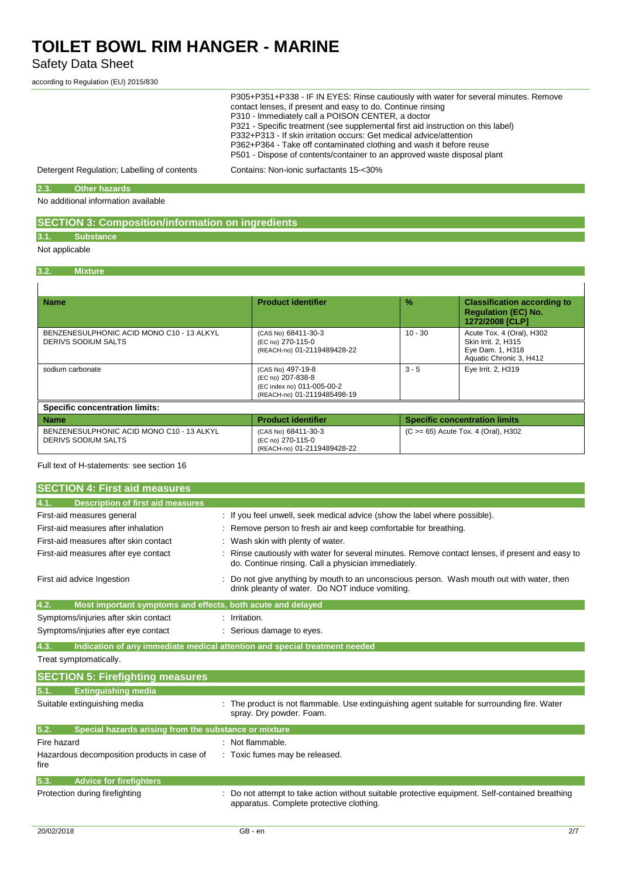### Safety Data Sheet

according to Regulation (EU) 2015/830

| P305+P351+P338 - IF IN EYES: Rinse cautiously with water for several minutes. Remove<br>contact lenses, if present and easy to do. Continue rinsing<br>P310 - Immediately call a POISON CENTER, a doctor<br>P321 - Specific treatment (see supplemental first aid instruction on this label)<br>P332+P313 - If skin irritation occurs: Get medical advice/attention<br>P362+P364 - Take off contaminated clothing and wash it before reuse |
|--------------------------------------------------------------------------------------------------------------------------------------------------------------------------------------------------------------------------------------------------------------------------------------------------------------------------------------------------------------------------------------------------------------------------------------------|
| P501 - Dispose of contents/container to an approved waste disposal plant                                                                                                                                                                                                                                                                                                                                                                   |
|                                                                                                                                                                                                                                                                                                                                                                                                                                            |

Detergent Regulation; Labelling of contents Contains: Non-ionic surfactants 15-<30%

#### **2.3. Other hazards**

No additional information available

### **SECTION 3: Composition/information on ingredients**

# **3.1. Substance**

Not applicable

#### **3.2. Mixture**

| <b>Name</b>                                                             | <b>Product identifier</b>                                                                           | $\frac{9}{6}$ | <b>Classification according to</b><br><b>Regulation (EC) No.</b><br>1272/2008 [CLP]             |
|-------------------------------------------------------------------------|-----------------------------------------------------------------------------------------------------|---------------|-------------------------------------------------------------------------------------------------|
| BENZENESULPHONIC ACID MONO C10 - 13 ALKYL<br>DERIVS SODIUM SALTS        | (CAS No) 68411-30-3<br>(EC no) 270-115-0<br>(REACH-no) 01-2119489428-22                             | $10 - 30$     | Acute Tox. 4 (Oral), H302<br>Skin Irrit. 2, H315<br>Eye Dam. 1, H318<br>Aquatic Chronic 3, H412 |
| sodium carbonate                                                        | (CAS No) 497-19-8<br>(EC no) 207-838-8<br>(EC index no) 011-005-00-2<br>(REACH-no) 01-2119485498-19 | $3 - 5$       | Eye Irrit. 2, H319                                                                              |
| <b>Specific concentration limits:</b>                                   |                                                                                                     |               |                                                                                                 |
| <b>Name</b>                                                             | <b>Product identifier</b>                                                                           |               | <b>Specific concentration limits</b>                                                            |
| BENZENESULPHONIC ACID MONO C10 - 13 ALKYL<br><b>DERIVS SODIUM SALTS</b> | (CAS No) 68411-30-3<br>(EC no) 270-115-0<br>(REACH-no) 01-2119489428-22                             |               | $(C \ge 65)$ Acute Tox. 4 (Oral), H302                                                          |

#### Full text of H-statements: see section 16

| <b>SECTION 4: First aid measures</b>                                |                                                                                                                                                       |
|---------------------------------------------------------------------|-------------------------------------------------------------------------------------------------------------------------------------------------------|
| <b>Description of first aid measures</b><br>4.1.                    |                                                                                                                                                       |
| First-aid measures general                                          | : If you feel unwell, seek medical advice (show the label where possible).                                                                            |
| First-aid measures after inhalation                                 | Remove person to fresh air and keep comfortable for breathing.                                                                                        |
| First-aid measures after skin contact                               | Wash skin with plenty of water.                                                                                                                       |
| First-aid measures after eye contact                                | Rinse cautiously with water for several minutes. Remove contact lenses, if present and easy to<br>do. Continue rinsing. Call a physician immediately. |
| First aid advice Ingestion                                          | Do not give anything by mouth to an unconscious person. Wash mouth out with water, then<br>drink pleanty of water. Do NOT induce vomiting.            |
| 4.2.<br>Most important symptoms and effects, both acute and delayed |                                                                                                                                                       |
| Symptoms/injuries after skin contact                                | : Irritation.                                                                                                                                         |
| Symptoms/injuries after eye contact                                 | Serious damage to eyes.                                                                                                                               |
| 4.3.                                                                | Indication of any immediate medical attention and special treatment needed                                                                            |
| Treat symptomatically.                                              |                                                                                                                                                       |
| <b>SECTION 5: Firefighting measures</b>                             |                                                                                                                                                       |
| 5.1.<br><b>Extinguishing media</b>                                  |                                                                                                                                                       |
| Suitable extinguishing media                                        | The product is not flammable. Use extinguishing agent suitable for surrounding fire. Water<br>spray. Dry powder. Foam.                                |
| 5.2.<br>Special hazards arising from the substance or mixture       |                                                                                                                                                       |
| Fire hazard                                                         | : Not flammable.                                                                                                                                      |
| Hazardous decomposition products in case of<br>fire                 | : Toxic fumes may be released.                                                                                                                        |
| 5.3.<br><b>Advice for firefighters</b>                              |                                                                                                                                                       |
| Protection during firefighting                                      | Do not attempt to take action without suitable protective equipment. Self-contained breathing<br>apparatus. Complete protective clothing.             |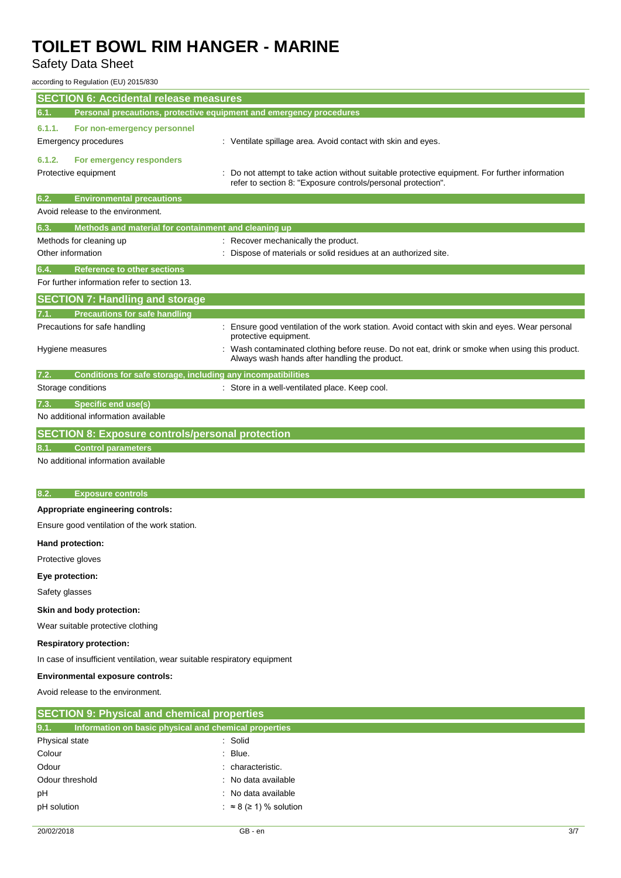## Safety Data Sheet

according to Regulation (EU) 2015/830

| <b>SECTION 6: Accidental release measures</b><br>Personal precautions, protective equipment and emergency procedures<br>6.1.<br>6.1.1.<br>For non-emergency personnel<br><b>Emergency procedures</b><br>: Ventilate spillage area. Avoid contact with skin and eyes. |  |  |
|----------------------------------------------------------------------------------------------------------------------------------------------------------------------------------------------------------------------------------------------------------------------|--|--|
|                                                                                                                                                                                                                                                                      |  |  |
|                                                                                                                                                                                                                                                                      |  |  |
|                                                                                                                                                                                                                                                                      |  |  |
| 6.1.2.<br>For emergency responders<br>Protective equipment<br>Do not attempt to take action without suitable protective equipment. For further information<br>refer to section 8: "Exposure controls/personal protection".                                           |  |  |
| 6.2.<br><b>Environmental precautions</b>                                                                                                                                                                                                                             |  |  |
| Avoid release to the environment.                                                                                                                                                                                                                                    |  |  |
| 6.3.<br>Methods and material for containment and cleaning up                                                                                                                                                                                                         |  |  |
| : Recover mechanically the product.<br>Methods for cleaning up                                                                                                                                                                                                       |  |  |
| Other information<br>Dispose of materials or solid residues at an authorized site.                                                                                                                                                                                   |  |  |
| <b>Reference to other sections</b><br>6.4.                                                                                                                                                                                                                           |  |  |
| For further information refer to section 13.                                                                                                                                                                                                                         |  |  |
| <b>SECTION 7: Handling and storage</b>                                                                                                                                                                                                                               |  |  |
| <b>Precautions for safe handling</b>                                                                                                                                                                                                                                 |  |  |
| Precautions for safe handling<br>Ensure good ventilation of the work station. Avoid contact with skin and eyes. Wear personal<br>protective equipment.                                                                                                               |  |  |
| Wash contaminated clothing before reuse. Do not eat, drink or smoke when using this product.<br>Hygiene measures<br>Always wash hands after handling the product.                                                                                                    |  |  |
| Conditions for safe storage, including any incompatibilities<br>7.2.                                                                                                                                                                                                 |  |  |
| Storage conditions<br>: Store in a well-ventilated place. Keep cool.                                                                                                                                                                                                 |  |  |
| <b>Specific end use(s)</b><br>7.3.                                                                                                                                                                                                                                   |  |  |
| No additional information available                                                                                                                                                                                                                                  |  |  |
| <b>SECTION 8: Exposure controls/personal protection</b>                                                                                                                                                                                                              |  |  |
| <b>Control parameters</b>                                                                                                                                                                                                                                            |  |  |
| No additional information available                                                                                                                                                                                                                                  |  |  |
|                                                                                                                                                                                                                                                                      |  |  |
| <b>Exposure controls</b><br>8.2.                                                                                                                                                                                                                                     |  |  |
| Appropriate engineering controls:                                                                                                                                                                                                                                    |  |  |
| Ensure good ventilation of the work station.                                                                                                                                                                                                                         |  |  |
| Hand protection:                                                                                                                                                                                                                                                     |  |  |
| Protective gloves                                                                                                                                                                                                                                                    |  |  |
| Eye protection:                                                                                                                                                                                                                                                      |  |  |
| Safety glasses                                                                                                                                                                                                                                                       |  |  |
| Skin and body protection:                                                                                                                                                                                                                                            |  |  |
| Wear suitable protective clothing                                                                                                                                                                                                                                    |  |  |
|                                                                                                                                                                                                                                                                      |  |  |
| <b>Respiratory protection:</b>                                                                                                                                                                                                                                       |  |  |
| In case of insufficient ventilation, wear suitable respiratory equipment                                                                                                                                                                                             |  |  |

Avoid release to the environment.

| <b>SECTION 9: Physical and chemical properties</b> |                                                       |  |
|----------------------------------------------------|-------------------------------------------------------|--|
| 9.1.                                               | Information on basic physical and chemical properties |  |
| Physical state                                     | : Solid                                               |  |
| Colour                                             | $\therefore$ Blue.                                    |  |
| Odour                                              | : characteristic.                                     |  |
| Odour threshold                                    | : No data available                                   |  |
| pH                                                 | : No data available                                   |  |
| pH solution                                        | : $\approx$ 8 ( $\ge$ 1) % solution                   |  |
|                                                    |                                                       |  |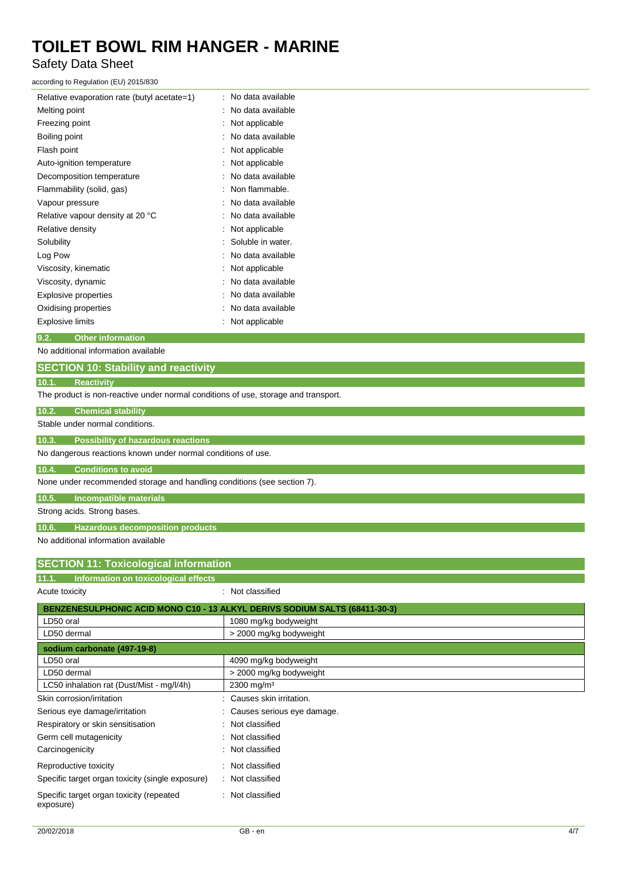Safety Data Sheet

according to Regulation (EU) 2015/830

| Relative evaporation rate (butyl acetate=1) | No data available |
|---------------------------------------------|-------------------|
| Melting point                               | No data available |
| Freezing point                              | Not applicable    |
| Boiling point                               | No data available |
| Flash point                                 | Not applicable    |
| Auto-ignition temperature                   | Not applicable    |
| Decomposition temperature                   | No data available |
| Flammability (solid, gas)                   | Non flammable.    |
| Vapour pressure                             | No data available |
| Relative vapour density at 20 °C            | No data available |
| Relative density                            | Not applicable    |
| Solubility                                  | Soluble in water. |
| Log Pow                                     | No data available |
| Viscosity, kinematic                        | Not applicable    |
| Viscosity, dynamic                          | No data available |
| Explosive properties                        | No data available |
| Oxidising properties                        | No data available |
| Explosive limits                            | Not applicable    |

#### **9.2. Other information**

No additional information available

### **SECTION 10: Stability and reactivity 10.1. Reactivity**

The product is non-reactive under normal conditions of use, storage and transport.

| <b>Chemical stability</b><br>10.2.                                      |                                                                            |
|-------------------------------------------------------------------------|----------------------------------------------------------------------------|
| Stable under normal conditions.                                         |                                                                            |
| 10.3.<br><b>Possibility of hazardous reactions</b>                      |                                                                            |
| No dangerous reactions known under normal conditions of use.            |                                                                            |
| 10.4.<br><b>Conditions to avoid</b>                                     |                                                                            |
| None under recommended storage and handling conditions (see section 7). |                                                                            |
| 10.5.<br><b>Incompatible materials</b>                                  |                                                                            |
| Strong acids. Strong bases.                                             |                                                                            |
| 10.6.<br><b>Hazardous decomposition products</b>                        |                                                                            |
| No additional information available                                     |                                                                            |
| <b>SECTION 11: Toxicological information</b>                            |                                                                            |
|                                                                         |                                                                            |
| 11.1.<br>Information on toxicological effects                           |                                                                            |
| Acute toxicity                                                          | : Not classified                                                           |
|                                                                         | BENZENESULPHONIC ACID MONO C10 - 13 ALKYL DERIVS SODIUM SALTS (68411-30-3) |
| LD50 oral                                                               | 1080 mg/kg bodyweight                                                      |
| LD50 dermal                                                             | > 2000 mg/kg bodyweight                                                    |
| sodium carbonate (497-19-8)                                             |                                                                            |
| LD50 oral                                                               | 4090 mg/kg bodyweight                                                      |
| LD50 dermal                                                             | > 2000 mg/kg bodyweight                                                    |
| LC50 inhalation rat (Dust/Mist - mg/l/4h)                               | 2300 mg/m <sup>3</sup>                                                     |
| Skin corrosion/irritation                                               | Causes skin irritation.                                                    |
| Serious eye damage/irritation                                           | Causes serious eye damage.                                                 |
| Respiratory or skin sensitisation                                       | Not classified                                                             |
| Germ cell mutagenicity                                                  | Not classified                                                             |
| Carcinogenicity                                                         | Not classified                                                             |
| Reproductive toxicity                                                   | Not classified                                                             |
| Specific target organ toxicity (single exposure)                        | Not classified                                                             |
| Specific target organ toxicity (repeated<br>exposure)                   | Not classified                                                             |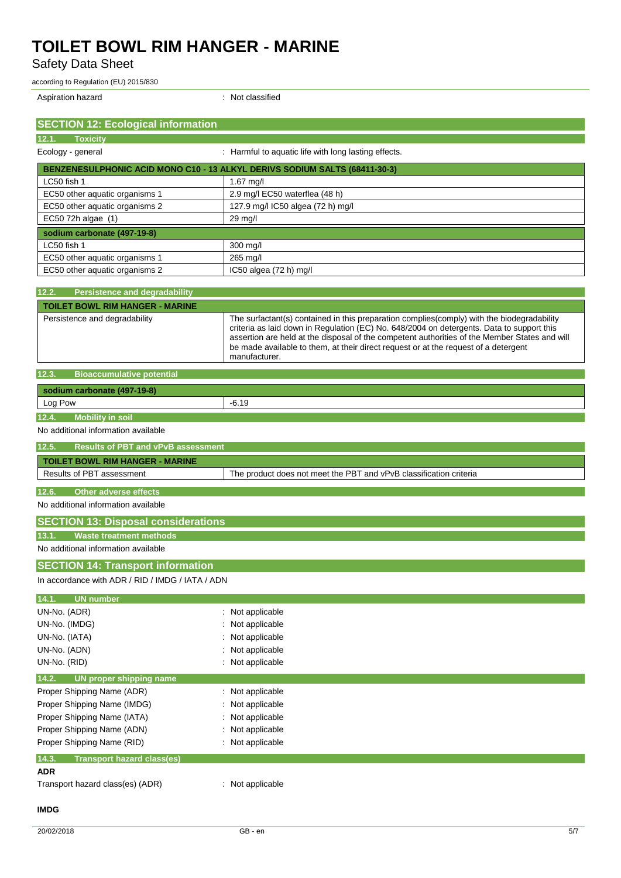Safety Data Sheet

according to Regulation (EU) 2015/830

Aspiration hazard **in the case of the contract of the case of the contract of the contract of the contract of the contract of the contract of the contract of the contract of the contract of the contract of the contract of** 

| <b>SECTION 12: Ecological information</b>          |                                                                                                                                                                                                                                                                                                                                                                                                   |
|----------------------------------------------------|---------------------------------------------------------------------------------------------------------------------------------------------------------------------------------------------------------------------------------------------------------------------------------------------------------------------------------------------------------------------------------------------------|
| 12.1. Toxicity                                     |                                                                                                                                                                                                                                                                                                                                                                                                   |
| Ecology - general                                  | : Harmful to aquatic life with long lasting effects.                                                                                                                                                                                                                                                                                                                                              |
|                                                    | BENZENESULPHONIC ACID MONO C10 - 13 ALKYL DERIVS SODIUM SALTS (68411-30-3)                                                                                                                                                                                                                                                                                                                        |
| LC50 fish 1                                        | $1.67$ mg/l                                                                                                                                                                                                                                                                                                                                                                                       |
| EC50 other aquatic organisms 1                     | 2.9 mg/l EC50 waterflea (48 h)                                                                                                                                                                                                                                                                                                                                                                    |
| EC50 other aquatic organisms 2                     | 127.9 mg/l IC50 algea (72 h) mg/l                                                                                                                                                                                                                                                                                                                                                                 |
| EC50 72h algae (1)                                 | 29 mg/l                                                                                                                                                                                                                                                                                                                                                                                           |
| sodium carbonate (497-19-8)                        |                                                                                                                                                                                                                                                                                                                                                                                                   |
| LC50 fish 1                                        | 300 mg/l                                                                                                                                                                                                                                                                                                                                                                                          |
| EC50 other aquatic organisms 1                     | 265 mg/l                                                                                                                                                                                                                                                                                                                                                                                          |
| EC50 other aquatic organisms 2                     | IC50 algea (72 h) mg/l                                                                                                                                                                                                                                                                                                                                                                            |
| 12.2.<br><b>Persistence and degradability</b>      |                                                                                                                                                                                                                                                                                                                                                                                                   |
| <b>TOILET BOWL RIM HANGER - MARINE</b>             |                                                                                                                                                                                                                                                                                                                                                                                                   |
| Persistence and degradability                      | The surfactant(s) contained in this preparation complies (comply) with the biodegradability<br>criteria as laid down in Regulation (EC) No. 648/2004 on detergents. Data to support this<br>assertion are held at the disposal of the competent authorities of the Member States and will<br>be made available to them, at their direct request or at the request of a detergent<br>manufacturer. |
| <b>Bioaccumulative potential</b><br>12.3.          |                                                                                                                                                                                                                                                                                                                                                                                                   |
| sodium carbonate (497-19-8)                        |                                                                                                                                                                                                                                                                                                                                                                                                   |
| Log Pow                                            | $-6.19$                                                                                                                                                                                                                                                                                                                                                                                           |
| <b>Mobility in soil</b><br>12.4.                   |                                                                                                                                                                                                                                                                                                                                                                                                   |
| No additional information available                |                                                                                                                                                                                                                                                                                                                                                                                                   |
| 12.5.<br><b>Results of PBT and vPvB assessment</b> |                                                                                                                                                                                                                                                                                                                                                                                                   |
| <b>TOILET BOWL RIM HANGER - MARINE</b>             |                                                                                                                                                                                                                                                                                                                                                                                                   |
| Results of PBT assessment                          | The product does not meet the PBT and vPvB classification criteria                                                                                                                                                                                                                                                                                                                                |
| 12.6.<br><b>Other adverse effects</b>              |                                                                                                                                                                                                                                                                                                                                                                                                   |
| No additional information available                |                                                                                                                                                                                                                                                                                                                                                                                                   |
| <b>SECTION 13: Disposal considerations</b>         |                                                                                                                                                                                                                                                                                                                                                                                                   |
| <b>Waste treatment methods</b><br>13.1.            |                                                                                                                                                                                                                                                                                                                                                                                                   |
| No additional information available                |                                                                                                                                                                                                                                                                                                                                                                                                   |
|                                                    |                                                                                                                                                                                                                                                                                                                                                                                                   |
| <b>SECTION 14: Transport information</b>           |                                                                                                                                                                                                                                                                                                                                                                                                   |
| In accordance with ADR / RID / IMDG / IATA / ADN   |                                                                                                                                                                                                                                                                                                                                                                                                   |
| <b>UN</b> number<br>14.1.                          |                                                                                                                                                                                                                                                                                                                                                                                                   |
| UN-No. (ADR)                                       | Not applicable                                                                                                                                                                                                                                                                                                                                                                                    |
| UN-No. (IMDG)                                      | Not applicable                                                                                                                                                                                                                                                                                                                                                                                    |
| UN-No. (IATA)                                      | Not applicable                                                                                                                                                                                                                                                                                                                                                                                    |
| UN-No. (ADN)                                       | Not applicable                                                                                                                                                                                                                                                                                                                                                                                    |
| UN-No. (RID)                                       | Not applicable                                                                                                                                                                                                                                                                                                                                                                                    |
| UN proper shipping name<br>14.2.                   |                                                                                                                                                                                                                                                                                                                                                                                                   |
| Proper Shipping Name (ADR)                         | Not applicable                                                                                                                                                                                                                                                                                                                                                                                    |
| Proper Shipping Name (IMDG)                        | Not applicable                                                                                                                                                                                                                                                                                                                                                                                    |
| Proper Shipping Name (IATA)                        | Not applicable                                                                                                                                                                                                                                                                                                                                                                                    |
| Proper Shipping Name (ADN)                         | Not applicable                                                                                                                                                                                                                                                                                                                                                                                    |
| Proper Shipping Name (RID)                         | Not applicable                                                                                                                                                                                                                                                                                                                                                                                    |
| 14.3.<br><b>Transport hazard class(es)</b>         |                                                                                                                                                                                                                                                                                                                                                                                                   |
| <b>ADR</b>                                         |                                                                                                                                                                                                                                                                                                                                                                                                   |
| Transport hazard class(es) (ADR)                   | Not applicable                                                                                                                                                                                                                                                                                                                                                                                    |
| <b>IMDG</b>                                        |                                                                                                                                                                                                                                                                                                                                                                                                   |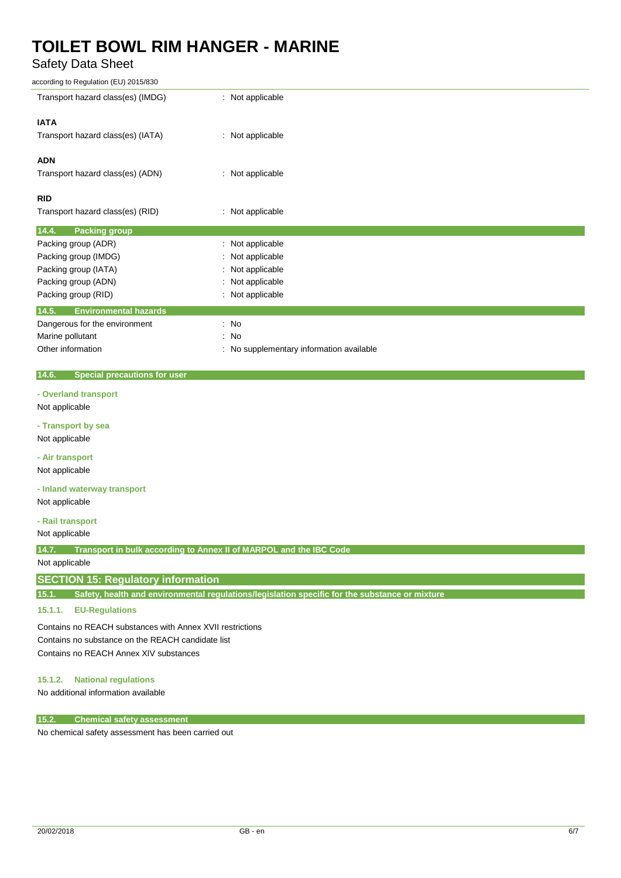### Safety Data Sheet

| according to Regulation (EU) 2015/830 |                                          |
|---------------------------------------|------------------------------------------|
| Transport hazard class(es) (IMDG)     | : Not applicable                         |
| <b>IATA</b>                           |                                          |
| Transport hazard class(es) (IATA)     | : Not applicable                         |
|                                       |                                          |
| <b>ADN</b>                            |                                          |
| Transport hazard class(es) (ADN)      | : Not applicable                         |
| <b>RID</b>                            |                                          |
| Transport hazard class(es) (RID)      | : Not applicable                         |
| 14.4.<br><b>Packing group</b>         |                                          |
| Packing group (ADR)                   | : Not applicable                         |
| Packing group (IMDG)                  | : Not applicable                         |
| Packing group (IATA)                  | : Not applicable                         |
| Packing group (ADN)                   | : Not applicable                         |
| Packing group (RID)                   | : Not applicable                         |
| 14.5.<br><b>Environmental hazards</b> |                                          |
| Dangerous for the environment         | $\therefore$ No                          |
| Marine pollutant                      | : No                                     |
| Other information                     | : No supplementary information available |

#### **14.6. Special precautions for user**

**- Overland transport**

#### Not applicable

**- Transport by sea**

Not applicable

### **- Air transport**

Not applicable

#### **- Inland waterway transport**

Not applicable

#### **- Rail transport**

Not applicable

**14.7. Transport in bulk according to Annex II of MARPOL and the IBC Code**

#### Not applicable

#### **SECTION 15: Regulatory information**

**15.1. Safety, health and environmental regulations/legislation specific for the substance or mixture**

#### **15.1.1. EU-Regulations**

Contains no REACH substances with Annex XVII restrictions Contains no substance on the REACH candidate list Contains no REACH Annex XIV substances

#### **15.1.2. National regulations**

No additional information available

#### **15.2. Chemical safety assessment**

No chemical safety assessment has been carried out